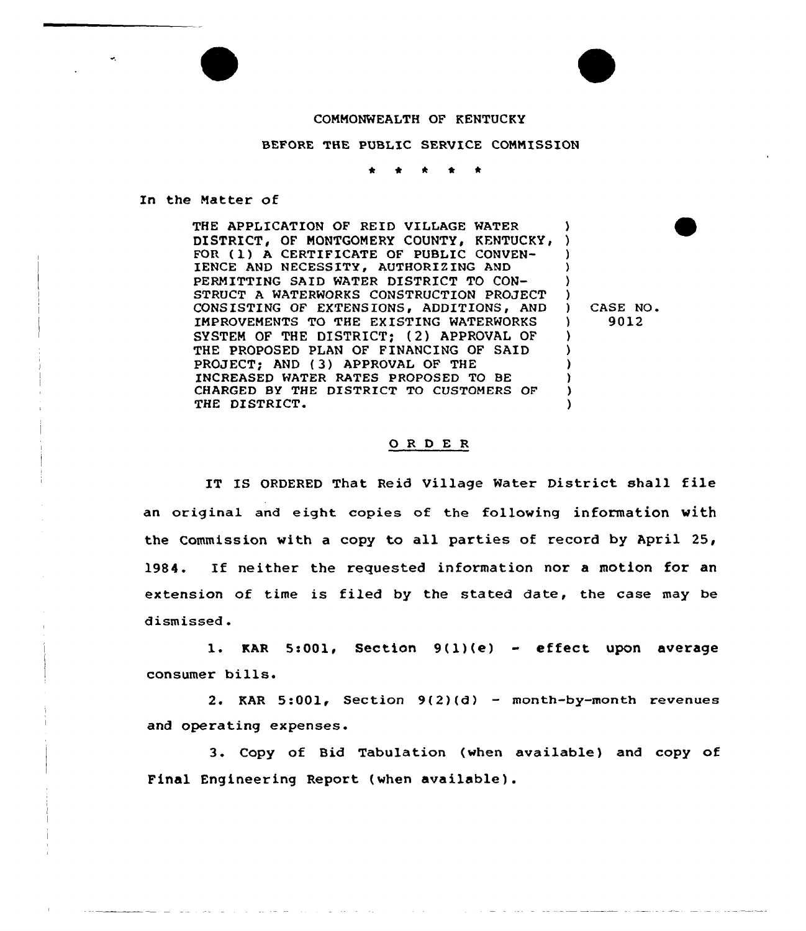## COMMONWEALTH OF KENTUCKY

BEFORE THE PUBLIC SERVICE COMMISSION

In the Natter of

THE APPLICATION OF REID VILLAGE WATER DISTRICT, OF MONTGOMERY COUNTY, KENTUCKY,<br>FOR (1) A CERTIFICATE OF PUBLIC CONVEN-IENCE AND NECESSITY, AUTHORIZING AND PERMITTING SAID WATER DISTRICT TO CON-STRUCT A WATERWORKS CONSTRUCTION PROJECT CONSISTING OF EXTENSIONS, ADDITIONS, AND IMPROVEMENTS TO THE EXISTING WATERWORKS SYSTEM OF THE DISTRICT; (2) APPROVAL OF THE PROPOSED PLAN OF FINANCING OF SAID PROJECT) AND {3) APPROVAL OF THE INCREASED HATER RATES PROPOSED TO BE CHARGED BY THE DISTRICT TO CUSTOMERS OF THE DISTRICT. ) ) ) ) )  $\left\{ \right\}$ ) ) ) ) ) )

) CASE NO. ) 9012

## ORDER

IT IS ORDERED That Reid Village Water District shall file an original and eight copies of the following information with the Commission with a copy to all parties of record by April 25, 1984. If neither the requested information nor a motion for an extension of time is filed by the stated date, the case may be dismissed .

1. KAR 5:001, Section  $9(1)(e)$  - effect upon average consumer bills.

2. KAR  $5:001$ , Section  $9(2)(d)$  - month-by-month revenues and operating expenses.

3. Copy of Bid Tabulation (when available) and copy of Final Engineering Report (when available).